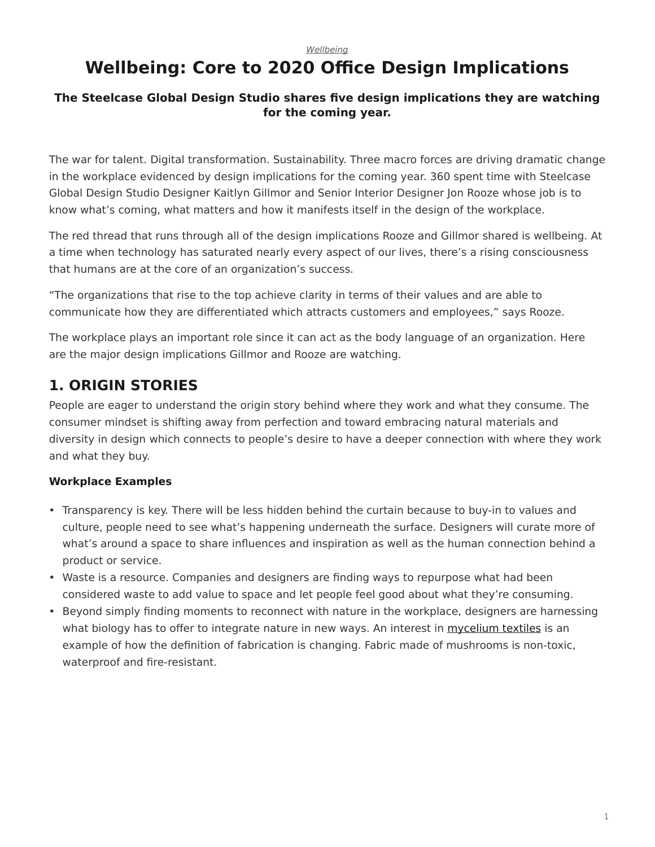#### *[Wellbeing](https://www.steelcase.com/asia-en/research/topics/wellbeing/)*

# **Wellbeing: Core to 2020 Office Design Implications**

#### **The Steelcase Global Design Studio shares five design implications they are watching for the coming year.**

The war for talent. Digital transformation. Sustainability. Three macro forces are driving dramatic change in the workplace evidenced by design implications for the coming year. 360 spent time with Steelcase Global Design Studio Designer Kaitlyn Gillmor and Senior Interior Designer Jon Rooze whose job is to know what's coming, what matters and how it manifests itself in the design of the workplace.

The red thread that runs through all of the design implications Rooze and Gillmor shared is wellbeing. At a time when technology has saturated nearly every aspect of our lives, there's a rising consciousness that humans are at the core of an organization's success.

"The organizations that rise to the top achieve clarity in terms of their values and are able to communicate how they are differentiated which attracts customers and employees," says Rooze.

The workplace plays an important role since it can act as the body language of an organization. Here are the major design implications Gillmor and Rooze are watching.

### **1. ORIGIN STORIES**

People are eager to understand the origin story behind where they work and what they consume. The consumer mindset is shifting away from perfection and toward embracing natural materials and diversity in design which connects to people's desire to have a deeper connection with where they work and what they buy.

#### **Workplace Examples**

- Transparency is key. There will be less hidden behind the curtain because to buy-in to values and culture, people need to see what's happening underneath the surface. Designers will curate more of what's around a space to share influences and inspiration as well as the human connection behind a product or service.
- Waste is a resource. Companies and designers are finding ways to repurpose what had been considered waste to add value to space and let people feel good about what they're consuming.
- Beyond simply finding moments to reconnect with nature in the workplace, designers are harnessing what biology has to offer to integrate nature in new ways. An interest in [mycelium textiles](https://www.bustle.com/p/clothing-made-of-mushrooms-might-just-be-the-future-its-actually-pretty-cool-8018663) is an example of how the definition of fabrication is changing. Fabric made of mushrooms is non-toxic, waterproof and fire-resistant.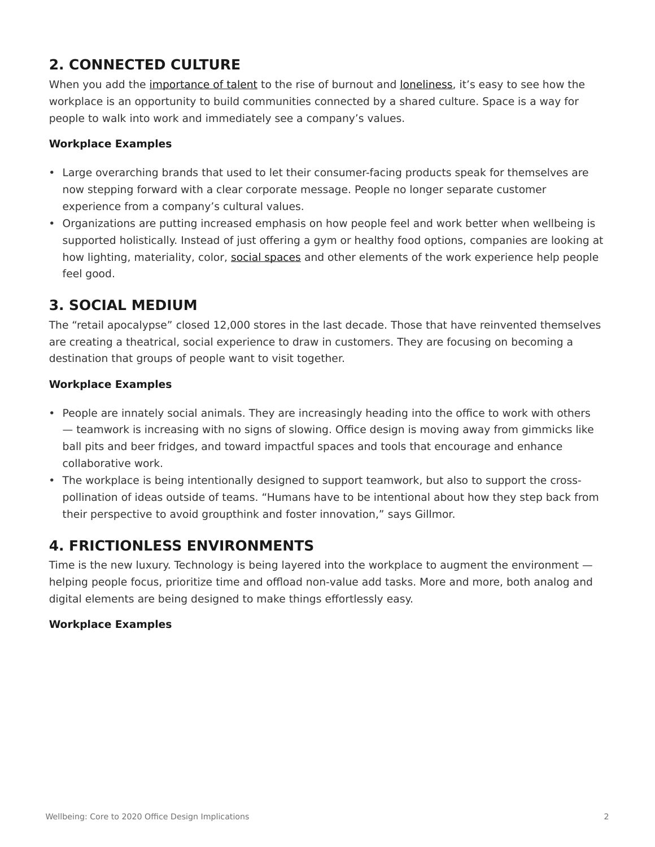## **2. CONNECTED CULTURE**

When you add the [importance of talent](https://www.steelcase.com/asia-en/research/articles/topics/culture/talent-search/) to the rise of burnout and [loneliness](https://www.steelcase.com/asia-en/research/articles/topics/collaboration/five-ways-office-can-help-combat-loneliness/), it's easy to see how the workplace is an opportunity to build communities connected by a shared culture. Space is a way for people to walk into work and immediately see a company's values.

#### **Workplace Examples**

- Large overarching brands that used to let their consumer-facing products speak for themselves are now stepping forward with a clear corporate message. People no longer separate customer experience from a company's cultural values.
- Organizations are putting increased emphasis on how people feel and work better when wellbeing is supported holistically. Instead of just offering a gym or healthy food options, companies are looking at how lighting, materiality, color, [social spaces](https://www.steelcase.com/asia-en/research/topics/social-office-spaces/) and other elements of the work experience help people feel good.

### **3. SOCIAL MEDIUM**

The "retail apocalypse" closed 12,000 stores in the last decade. Those that have reinvented themselves are creating a theatrical, social experience to draw in customers. They are focusing on becoming a destination that groups of people want to visit together.

#### **Workplace Examples**

- People are innately social animals. They are increasingly heading into the office to work with others — teamwork is increasing with no signs of slowing. Office design is moving away from gimmicks like ball pits and beer fridges, and toward impactful spaces and tools that encourage and enhance collaborative work.
- The workplace is being intentionally designed to support teamwork, but also to support the crosspollination of ideas outside of teams. "Humans have to be intentional about how they step back from their perspective to avoid groupthink and foster innovation," says Gillmor.

### **4. FRICTIONLESS ENVIRONMENTS**

Time is the new luxury. Technology is being layered into the workplace to augment the environment helping people focus, prioritize time and offload non-value add tasks. More and more, both analog and digital elements are being designed to make things effortlessly easy.

#### **Workplace Examples**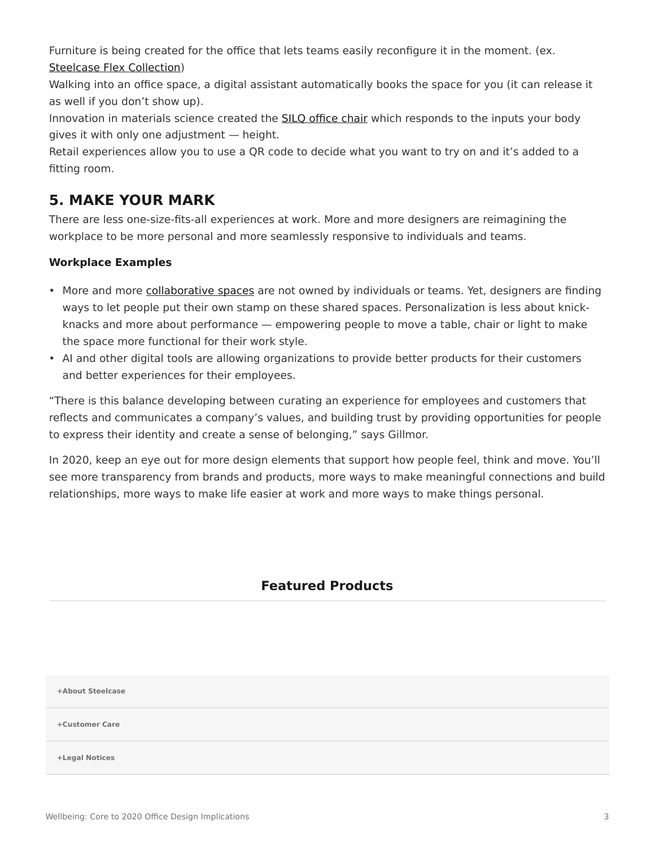Furniture is being created for the office that lets teams easily reconfigure it in the moment. (ex. [Steelcase Flex Collection\)](https://www.steelcase.com/asia-en/products/panels/steelcase-flex-collection/)

Walking into an office space, a digital assistant automatically books the space for you (it can release it as well if you don't show up).

Innovation in materials science created the [SILQ office chair](https://www.steelcase.com/asia-en/products/office-chairs/silq/) which responds to the inputs your body gives it with only one adjustment — height.

Retail experiences allow you to use a QR code to decide what you want to try on and it's added to a fitting room.

### **5. MAKE YOUR MARK**

There are less one-size-fits-all experiences at work. More and more designers are reimagining the workplace to be more personal and more seamlessly responsive to individuals and teams.

### **Workplace Examples**

- More and more [collaborative spaces](https://www.steelcase.com/asia-en/office-renaissance/) are not owned by individuals or teams. Yet, designers are finding ways to let people put their own stamp on these shared spaces. Personalization is less about knickknacks and more about performance — empowering people to move a table, chair or light to make the space more functional for their work style.
- AI and other digital tools are allowing organizations to provide better products for their customers and better experiences for their employees.

"There is this balance developing between curating an experience for employees and customers that reflects and communicates a company's values, and building trust by providing opportunities for people to express their identity and create a sense of belonging," says Gillmor.

In 2020, keep an eye out for more design elements that support how people feel, think and move. You'll see more transparency from brands and products, more ways to make meaningful connections and build relationships, more ways to make life easier at work and more ways to make things personal.

### **Featured Products**

**[+About Steelcase](https://www.steelcase.com/asia-en/about/steelcase/our-company/)**

**+Customer Care**

**+Legal Notices**